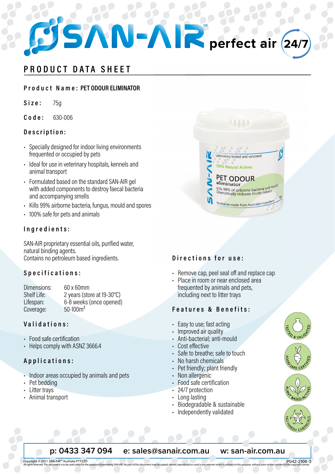# perfect air

# PRODUCT DATA SHEET

# Product Name: PET ODOUR ELIMINATOR

 $Size:$  $75<sub>a</sub>$ 

 $C$  o d e : 630-006

# Description:

- · Specially designed for indoor living environments frequented or occupied by pets
- Ideal for use in veterinary hospitals, kennels and animal transport
- Formulated based on the standard SAN-AIR gel with added components to destrov faecal bacteria and accompanying smells
- · Kills 99% airborne bacteria, fungus, mould and spores
- · 100% safe for pets and animals

# Ingredients:

SAN-AIR proprietary essential oils, purified water, natural binding agents. Contains no petroleum based ingredients.

# Specifications:

| Dimensions: | 60 x 60mm                  |
|-------------|----------------------------|
| Shelf Life: | 2 years (store at 19-30°C) |
| Lifespan:   | 6-8 weeks (once opened)    |
| Coverage:   | $50 - 100$ m <sup>2</sup>  |

# Validations:

- Food safe certification
- Helps comply with ASNZ 3666.4

# Applications:

- · Indoor areas occupied by animals and pets
- Pet bedding
- Litter trays
- Animal transport

Copyright © 2021 SAN-AIR™ Australia PTY LTD



# Directions for use:

- Remove cap, peel seal off and replace cap
- · Place in room or near enclosed area frequented by animals and pets, including next to litter trays

# Features & Benefits:

- Easy to use; fast acting
- · Improved air quality
- Anti-bacterial; anti-mould
- Cost effective
- · Safe to breathe; safe to touch
- No harsh chemicals
- Pet friendly; plant friendly
- Non allergenic
- Food safe certification
- · 24/7 protection
- Long lasting
- · Biodegradable & sustainable
- Independently validated



### p: 0433 347 094 e: sales@sanair.com.au w: san-air.com.au

P042-2108-3